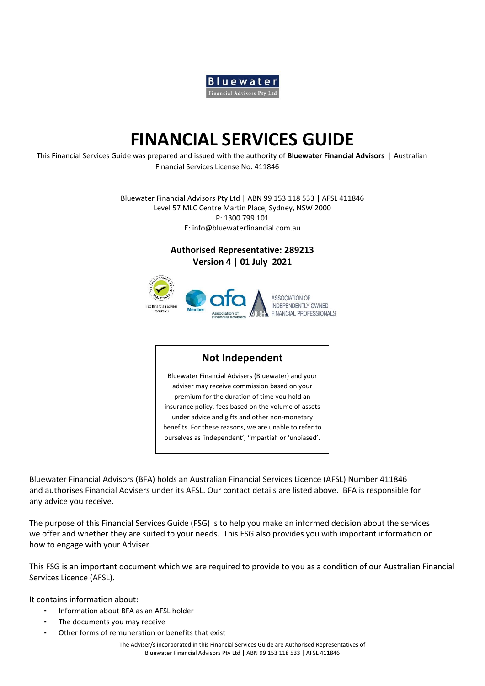

# **FINANCIAL SERVICES GUIDE**

This Financial Services Guide was prepared and issued with the authority of **Bluewater Financial Advisors** | Australian Financial Services License No. 411846

> Bluewater Financial Advisors Pty Ltd | ABN 99 153 118 533 | AFSL 411846 Level 57 MLC Centre Martin Place, Sydney, NSW 2000 P: 1300 799 101 E: info@bluewaterfinancial.com.au

> > **Authorised Representative: 289213 Version 4 | 01 July 2021**



### **Not Independent**

Bluewater Financial Advisers (Bluewater) and your adviser may receive commission based on your premium for the duration of time you hold an insurance policy, fees based on the volume of assets under advice and gifts and other non-monetary benefits. For these reasons, we are unable to refer to ourselves as 'independent', 'impartial' or 'unbiased'.

Bluewater Financial Advisors (BFA) holds an Australian Financial Services Licence (AFSL) Number 411846 and authorises Financial Advisers under its AFSL. Our contact details are listed above. BFA is responsible for any advice you receive.

The purpose of this Financial Services Guide (FSG) is to help you make an informed decision about the services we offer and whether they are suited to your needs. This FSG also provides you with important information on how to engage with your Adviser.

This FSG is an important document which we are required to provide to you as a condition of our Australian Financial Services Licence (AFSL).

It contains information about:

- Information about BFA as an AFSL holder
- The documents you may receive
- Other forms of remuneration or benefits that exist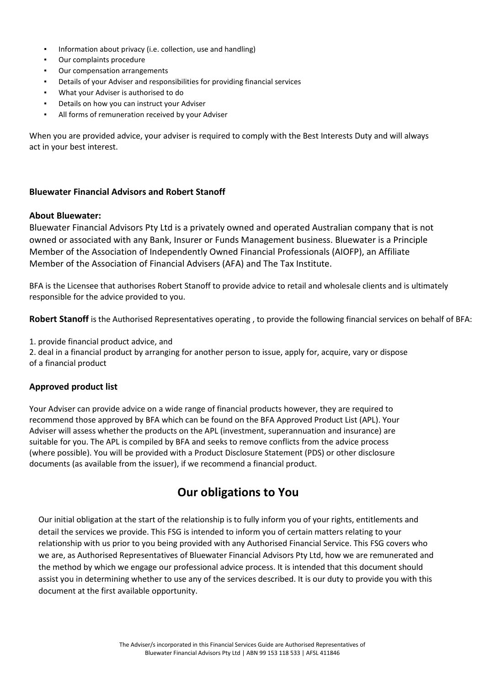- Information about privacy (i.e. collection, use and handling)
- Our complaints procedure
- Our compensation arrangements
- Details of your Adviser and responsibilities for providing financial services
- What your Adviser is authorised to do
- Details on how you can instruct your Adviser
- All forms of remuneration received by your Adviser

When you are provided advice, your adviser is required to comply with the Best Interests Duty and will always act in your best interest.

#### **Bluewater Financial Advisors and Robert Stanoff**

#### **About Bluewater:**

Bluewater Financial Advisors Pty Ltd is a privately owned and operated Australian company that is not owned or associated with any Bank, Insurer or Funds Management business. Bluewater is a Principle Member of the Association of Independently Owned Financial Professionals (AIOFP), an Affiliate Member of the Association of Financial Advisers (AFA) and The Tax Institute.

BFA is the Licensee that authorises Robert Stanoff to provide advice to retail and wholesale clients and is ultimately responsible for the advice provided to you.

**Robert Stanoff** is the Authorised Representatives operating , to provide the following financial services on behalf of BFA:

1. provide financial product advice, and

2. deal in a financial product by arranging for another person to issue, apply for, acquire, vary or dispose of a financial product

#### **Approved product list**

Your Adviser can provide advice on a wide range of financial products however, they are required to recommend those approved by BFA which can be found on the BFA Approved Product List (APL). Your Adviser will assess whether the products on the APL (investment, superannuation and insurance) are suitable for you. The APL is compiled by BFA and seeks to remove conflicts from the advice process (where possible). You will be provided with a Product Disclosure Statement (PDS) or other disclosure documents (as available from the issuer), if we recommend a financial product.

## **Our obligations to You**

Our initial obligation at the start of the relationship is to fully inform you of your rights, entitlements and detail the services we provide. This FSG is intended to inform you of certain matters relating to your relationship with us prior to you being provided with any Authorised Financial Service. This FSG covers who we are, as Authorised Representatives of Bluewater Financial Advisors Pty Ltd, how we are remunerated and the method by which we engage our professional advice process. It is intended that this document should assist you in determining whether to use any of the services described. It is our duty to provide you with this document at the first available opportunity.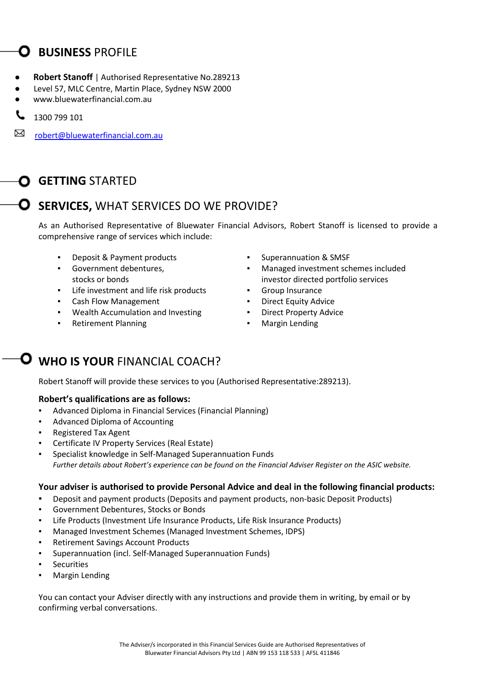# **D** BUSINESS PROFILE

- **Robert Stanoff** | Authorised Representative No.289213
- Level 57, MLC Centre, Martin Place, Sydney NSW 2000
- www.bluewaterfinancial.com.au
- 1300 799 101
- [robert@bluewaterfinancial.com.au](mailto:robert@bluewaterfinancial.com.au)

# **GETTING** STARTED

# **SERVICES,** WHAT SERVICES DO WE PROVIDE?

As an Authorised Representative of Bluewater Financial Advisors, Robert Stanoff is licensed to provide a comprehensive range of services which include:

- 
- Government debentures, stocks or bonds
- Life investment and life risk products **·** Group Insurance
- Cash Flow Management **Example 20** Person **Figure 20** Personal Library Advice
- Wealth Accumulation and Investing **· Property Advice · Direct Property Advice**
- **Retirement Planning Example 2 Retirement Planning Example 2 Retirement Planning**
- **Deposit & Payment products Products Products Products Products Products Products Products Products** 
	- Managed investment schemes included investor directed portfolio services
	-
	-
	-
	-

# **O** WHO IS YOUR FINANCIAL COACH?

Robert Stanoff will provide these services to you (Authorised Representative:289213).

### **Robert's qualifications are as follows:**

- Advanced Diploma in Financial Services (Financial Planning)
- Advanced Diploma of Accounting
- Registered Tax Agent
- Certificate IV Property Services (Real Estate)
- Specialist knowledge in Self-Managed Superannuation Funds *Further details about Robert's experience can be found on the Financial Adviser Register on the ASIC website.*

### **Your adviser is authorised to provide Personal Advice and deal in the following financial products:**

- Deposit and payment products (Deposits and payment products, non-basic Deposit Products)
- Government Debentures, Stocks or Bonds
- Life Products (Investment Life Insurance Products, Life Risk Insurance Products)
- Managed Investment Schemes (Managed Investment Schemes, IDPS)
- Retirement Savings Account Products
- Superannuation (incl. Self-Managed Superannuation Funds)
- **Securities**
- **Margin Lending**

You can contact your Adviser directly with any instructions and provide them in writing, by email or by confirming verbal conversations.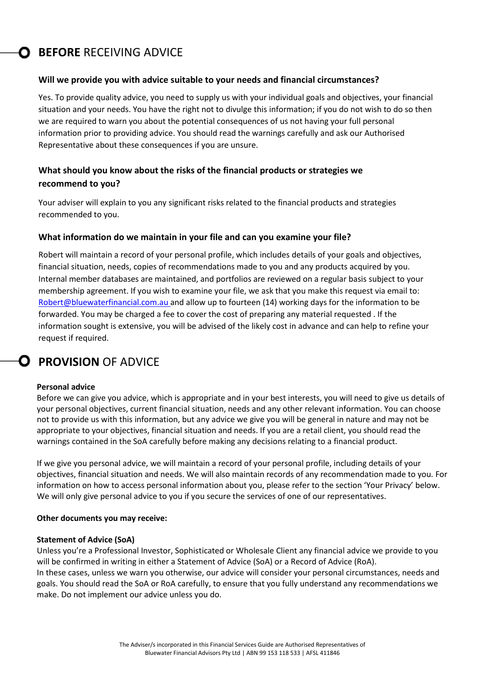# **C** BEFORE RECEIVING ADVICE

#### **Will we provide you with advice suitable to your needs and financial circumstances?**

Yes. To provide quality advice, you need to supply us with your individual goals and objectives, your financial situation and your needs. You have the right not to divulge this information; if you do not wish to do so then we are required to warn you about the potential consequences of us not having your full personal information prior to providing advice. You should read the warnings carefully and ask our Authorised Representative about these consequences if you are unsure.

### **What should you know about the risks of the financial products or strategies we recommend to you?**

Your adviser will explain to you any significant risks related to the financial products and strategies recommended to you.

#### **What information do we maintain in your file and can you examine your file?**

Robert will maintain a record of your personal profile, which includes details of your goals and objectives, financial situation, needs, copies of recommendations made to you and any products acquired by you. Internal member databases are maintained, and portfolios are reviewed on a regular basis subject to your membership agreement. If you wish to examine your file, we ask that you make this request via email to: [Robert@bluewaterfinancial.com.au a](mailto:Robert@bluewaterfinancial.com.au)nd allow up to fourteen (14) working days for the information to be forwarded. You may be charged a fee to cover the cost of preparing any material requested . If the information sought is extensive, you will be advised of the likely cost in advance and can help to refine your request if required.

# **PROVISION OF ADVICE**

#### **Personal advice**

Before we can give you advice, which is appropriate and in your best interests, you will need to give us details of your personal objectives, current financial situation, needs and any other relevant information. You can choose not to provide us with this information, but any advice we give you will be general in nature and may not be appropriate to your objectives, financial situation and needs. If you are a retail client, you should read the warnings contained in the SoA carefully before making any decisions relating to a financial product.

If we give you personal advice, we will maintain a record of your personal profile, including details of your objectives, financial situation and needs. We will also maintain records of any recommendation made to you. For information on how to access personal information about you, please refer to the section 'Your Privacy' below. We will only give personal advice to you if you secure the services of one of our representatives.

#### **Other documents you may receive:**

#### **Statement of Advice (SoA)**

Unless you're a Professional Investor, Sophisticated or Wholesale Client any financial advice we provide to you will be confirmed in writing in either a Statement of Advice (SoA) or a Record of Advice (RoA). In these cases, unless we warn you otherwise, our advice will consider your personal circumstances, needs and goals. You should read the SoA or RoA carefully, to ensure that you fully understand any recommendations we make. Do not implement our advice unless you do.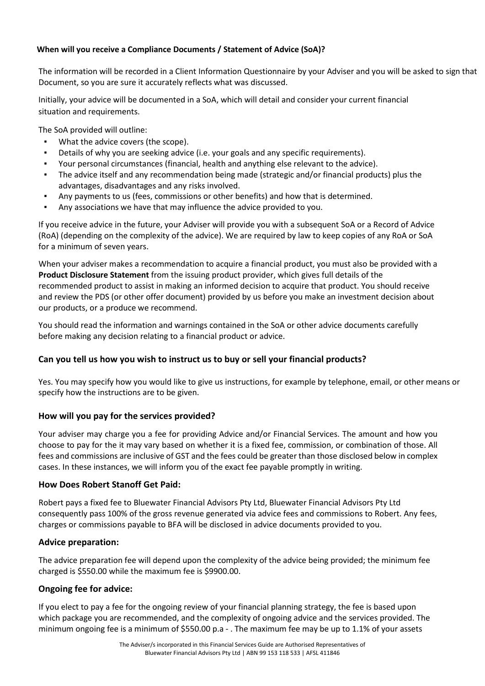### **When will you receive a Compliance Documents / Statement of Advice (SoA)?**

The information will be recorded in a Client Information Questionnaire by your Adviser and you will be asked to sign that Document, so you are sure it accurately reflects what was discussed.

Initially, your advice will be documented in a SoA, which will detail and consider your current financial situation and requirements.

The SoA provided will outline:

- What the advice covers (the scope).
- Details of why you are seeking advice (i.e. your goals and any specific requirements).
- Your personal circumstances (financial, health and anything else relevant to the advice).
- The advice itself and any recommendation being made (strategic and/or financial products) plus the advantages, disadvantages and any risks involved.
- Any payments to us (fees, commissions or other benefits) and how that is determined.
- Any associations we have that may influence the advice provided to you.

If you receive advice in the future, your Adviser will provide you with a subsequent SoA or a Record of Advice (RoA) (depending on the complexity of the advice). We are required by law to keep copies of any RoA or SoA for a minimum of seven years.

When your adviser makes a recommendation to acquire a financial product, you must also be provided with a **Product Disclosure Statement** from the issuing product provider, which gives full details of the recommended product to assist in making an informed decision to acquire that product. You should receive and review the PDS (or other offer document) provided by us before you make an investment decision about our products, or a produce we recommend.

You should read the information and warnings contained in the SoA or other advice documents carefully before making any decision relating to a financial product or advice.

### **Can you tell us how you wish to instruct us to buy or sell your financial products?**

Yes. You may specify how you would like to give us instructions, for example by telephone, email, or other means or specify how the instructions are to be given.

### **How will you pay for the services provided?**

Your adviser may charge you a fee for providing Advice and/or Financial Services. The amount and how you choose to pay for the it may vary based on whether it is a fixed fee, commission, or combination of those. All fees and commissions are inclusive of GST and the fees could be greater than those disclosed below in complex cases. In these instances, we will inform you of the exact fee payable promptly in writing.

### **How Does Robert Stanoff Get Paid:**

Robert pays a fixed fee to Bluewater Financial Advisors Pty Ltd, Bluewater Financial Advisors Pty Ltd consequently pass 100% of the gross revenue generated via advice fees and commissions to Robert. Any fees, charges or commissions payable to BFA will be disclosed in advice documents provided to you.

### **Advice preparation:**

The advice preparation fee will depend upon the complexity of the advice being provided; the minimum fee charged is \$550.00 while the maximum fee is \$9900.00.

### **Ongoing fee for advice:**

If you elect to pay a fee for the ongoing review of your financial planning strategy, the fee is based upon which package you are recommended, and the complexity of ongoing advice and the services provided. The minimum ongoing fee is a minimum of \$550.00 p.a - . The maximum fee may be up to 1.1% of your assets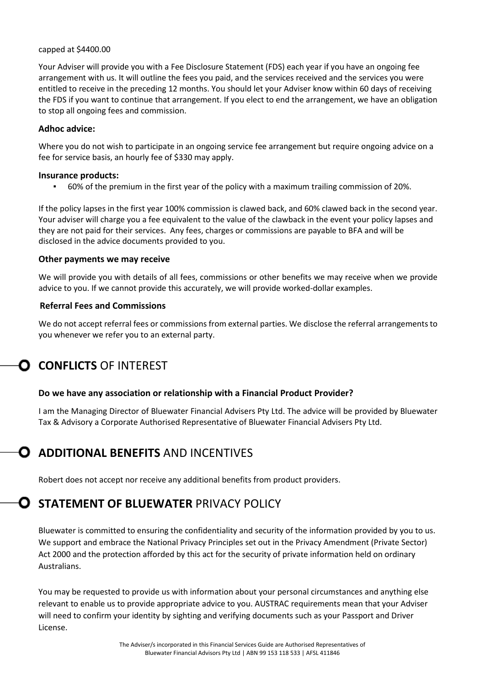#### capped at \$4400.00

Your Adviser will provide you with a Fee Disclosure Statement (FDS) each year if you have an ongoing fee arrangement with us. It will outline the fees you paid, and the services received and the services you were entitled to receive in the preceding 12 months. You should let your Adviser know within 60 days of receiving the FDS if you want to continue that arrangement. If you elect to end the arrangement, we have an obligation to stop all ongoing fees and commission.

#### **Adhoc advice:**

Where you do not wish to participate in an ongoing service fee arrangement but require ongoing advice on a fee for service basis, an hourly fee of \$330 may apply.

#### **Insurance products:**

▪ 60% of the premium in the first year of the policy with a maximum trailing commission of 20%.

If the policy lapses in the first year 100% commission is clawed back, and 60% clawed back in the second year. Your adviser will charge you a fee equivalent to the value of the clawback in the event your policy lapses and they are not paid for their services. Any fees, charges or commissions are payable to BFA and will be disclosed in the advice documents provided to you.

#### **Other payments we may receive**

We will provide you with details of all fees, commissions or other benefits we may receive when we provide advice to you. If we cannot provide this accurately, we will provide worked-dollar examples.

### **Referral Fees and Commissions**

We do not accept referral fees or commissions from external parties. We disclose the referral arrangements to you whenever we refer you to an external party.

# **CONFLICTS** OF INTEREST

### **Do we have any association or relationship with a Financial Product Provider?**

I am the Managing Director of Bluewater Financial Advisers Pty Ltd. The advice will be provided by Bluewater Tax & Advisory a Corporate Authorised Representative of Bluewater Financial Advisers Pty Ltd.

# **ADDITIONAL BENEFITS AND INCENTIVES**

Robert does not accept nor receive any additional benefits from product providers.

# **O** STATEMENT OF BLUEWATER PRIVACY POLICY

Bluewater is committed to ensuring the confidentiality and security of the information provided by you to us. We support and embrace the National Privacy Principles set out in the Privacy Amendment (Private Sector) Act 2000 and the protection afforded by this act for the security of private information held on ordinary Australians.

You may be requested to provide us with information about your personal circumstances and anything else relevant to enable us to provide appropriate advice to you. AUSTRAC requirements mean that your Adviser will need to confirm your identity by sighting and verifying documents such as your Passport and Driver License.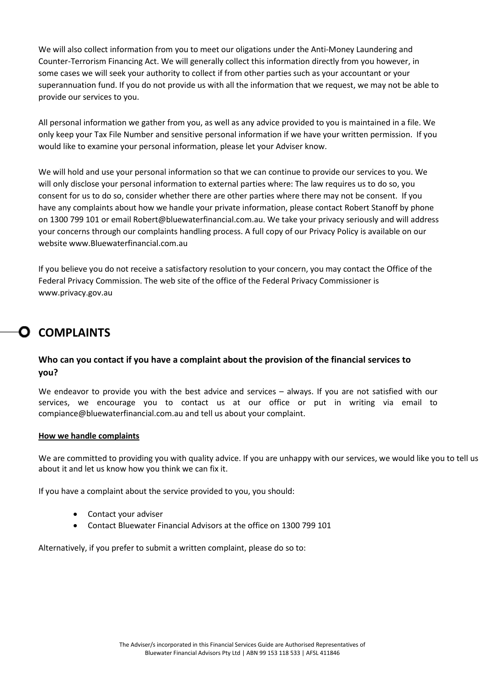We will also collect information from you to meet our oligations under the Anti-Money Laundering and Counter-Terrorism Financing Act. We will generally collect this information directly from you however, in some cases we will seek your authority to collect if from other parties such as your accountant or your superannuation fund. If you do not provide us with all the information that we request, we may not be able to provide our services to you.

All personal information we gather from you, as well as any advice provided to you is maintained in a file. We only keep your Tax File Number and sensitive personal information if we have your written permission. If you would like to examine your personal information, please let your Adviser know.

We will hold and use your personal information so that we can continue to provide our services to you. We will only disclose your personal information to external parties where: The law requires us to do so, you consent for us to do so, consider whether there are other parties where there may not be consent. If you have any complaints about how we handle your private information, please contact Robert Stanoff by phone on 1300 799 101 or email Robert@bluewaterfinancial.com.au. We take your privacy seriously and will address your concerns through our complaints handling process. A full copy of our Privacy Policy is available on our website www.Bluewaterfinancial.com.au

If you believe you do not receive a satisfactory resolution to your concern, you may contact the Office of the Federal Privacy Commission. The web site of the o[ffice of the Federal Privacy Commissioner is](http://www.privacy.gov.au/) [www.privacy.gov.au](http://www.privacy.gov.au/)

# **COMPLAINTS**

### **Who can you contact if you have a complaint about the provision of the financial services to you?**

We endeavor to provide you with the best advice and services – always. If you are not satisfied with our services, we encourage you to contact us at our office or put in writing via email to compiance@bluewaterfinancial.com.au and tell us about your complaint.

#### **How we handle complaints**

We are committed to providing you with quality advice. If you are unhappy with our services, we would like you to tell us about it and let us know how you think we can fix it.

If you have a complaint about the service provided to you, you should:

- Contact your adviser
- Contact Bluewater Financial Advisors at the office on 1300 799 101

Alternatively, if you prefer to submit a written complaint, please do so to: